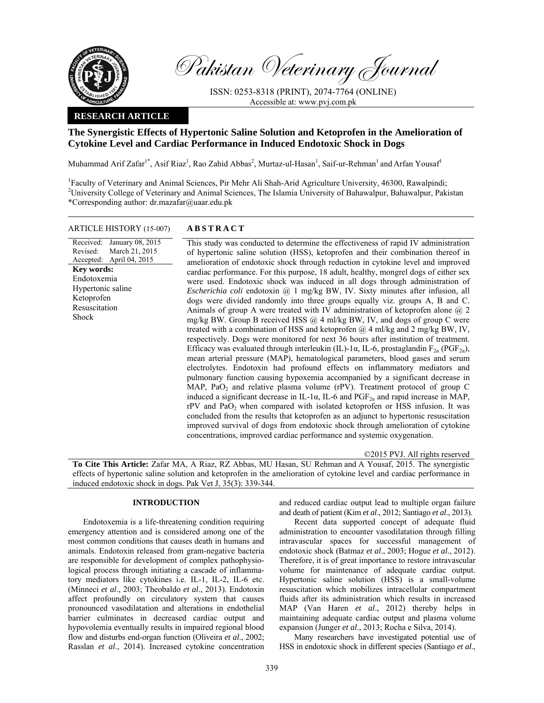

Pakistan Veterinary Journal

ISSN: 0253-8318 (PRINT), 2074-7764 (ONLINE) Accessible at: www.pvj.com.pk

## **RESEARCH ARTICLE**

# **The Synergistic Effects of Hypertonic Saline Solution and Ketoprofen in the Amelioration of Cytokine Level and Cardiac Performance in Induced Endotoxic Shock in Dogs**

Muhammad Arif Zafar<sup>1\*</sup>, Asif Riaz<sup>1</sup>, Rao Zahid Abbas<sup>2</sup>, Murtaz-ul-Hasan<sup>1</sup>, Saif-ur-Rehman<sup>1</sup> and Arfan Yousaf<sup>1</sup>

<sup>1</sup>Faculty of Veterinary and Animal Sciences, Pir Mehr Ali Shah-Arid Agriculture University, 46300, Rawalpindi; <sup>2</sup>University College of Veterinary and Animal Sciences, The Islamia University of Bahawalpur, Bahawalpur, Pakistan \*Corresponding author: dr.mazafar@uaar.edu.pk

## ARTICLE HISTORY (15-007) **ABSTRACT**

#### Received: Revised: Accepted: January 08, 2015 March 21, 2015 April 04, 2015 **Key words:**  Endotoxemia Hypertonic saline Ketoprofen Resuscitation Shock

 This study was conducted to determine the effectiveness of rapid IV administration of hypertonic saline solution (HSS), ketoprofen and their combination thereof in

amelioration of endotoxic shock through reduction in cytokine level and improved cardiac performance. For this purpose, 18 adult, healthy, mongrel dogs of either sex were used. Endotoxic shock was induced in all dogs through administration of *Escherichia coli* endotoxin @ 1 mg/kg BW, IV. Sixty minutes after infusion, all dogs were divided randomly into three groups equally viz. groups A, B and C. Animals of group A were treated with IV administration of ketoprofen alone  $@$  2 mg/kg BW. Group B received HSS  $(a)$  4 ml/kg BW, IV, and dogs of group C were treated with a combination of HSS and ketoprofen @ 4 ml/kg and 2 mg/kg BW, IV, respectively. Dogs were monitored for next 36 hours after institution of treatment. Efficacy was evaluated through interleukin (IL)-1α, IL-6, prostaglandin  $F_{2\alpha}$  (PGF<sub>2a</sub>), mean arterial pressure (MAP), hematological parameters, blood gases and serum electrolytes. Endotoxin had profound effects on inflammatory mediators and pulmonary function causing hypoxemia accompanied by a significant decrease in MAP, PaO<sub>2</sub> and relative plasma volume (rPV). Treatment protocol of group C induced a significant decrease in IL-1 $\alpha$ , IL-6 and PGF<sub>2a</sub> and rapid increase in MAP, rPV and PaO<sub>2</sub> when compared with isolated ketoprofen or HSS infusion. It was concluded from the results that ketoprofen as an adjunct to hypertonic resuscitation improved survival of dogs from endotoxic shock through amelioration of cytokine concentrations, improved cardiac performance and systemic oxygenation.

©2015 PVJ. All rights reserved **To Cite This Article:** Zafar MA, A Riaz, RZ Abbas, MU Hasan, SU Rehman and A Yousaf, 2015. The synergistic effects of hypertonic saline solution and ketoprofen in the amelioration of cytokine level and cardiac performance in induced endotoxic shock in dogs. Pak Vet J, 35(3): 339-344.

## **INTRODUCTION**

Endotoxemia is a life-threatening condition requiring emergency attention and is considered among one of the most common conditions that causes death in humans and animals. Endotoxin released from gram-negative bacteria are responsible for development of complex pathophysiological process through initiating a cascade of inflammatory mediators like cytokines i.e. IL-1, IL-2, IL-6 etc. (Minneci *et al*., 2003; Theobaldo *et al*., 2013). Endotoxin affect profoundly on circulatory system that causes pronounced vasodilatation and alterations in endothelial barrier culminates in decreased cardiac output and hypovolemia eventually results in impaired regional blood flow and disturbs end-organ function (Oliveira *et al*., 2002; Rasslan *et al*., 2014). Increased cytokine concentration

and reduced cardiac output lead to multiple organ failure and death of patient (Kim *et al*., 2012; Santiago *et al*., 2013).

Recent data supported concept of adequate fluid administration to encounter vasodilatation through filling intravascular spaces for successful management of endotoxic shock (Batmaz *et al*., 2003; Hogue *et al*., 2012). Therefore, it is of great importance to restore intravascular volume for maintenance of adequate cardiac output. Hypertonic saline solution (HSS) is a small-volume resuscitation which mobilizes intracellular compartment fluids after its administration which results in increased MAP (Van Haren *et al*., 2012) thereby helps in maintaining adequate cardiac output and plasma volume expansion (Junger *et al*., 2013; Rocha e Silva, 2014).

Many researchers have investigated potential use of HSS in endotoxic shock in different species (Santiago *et al*.,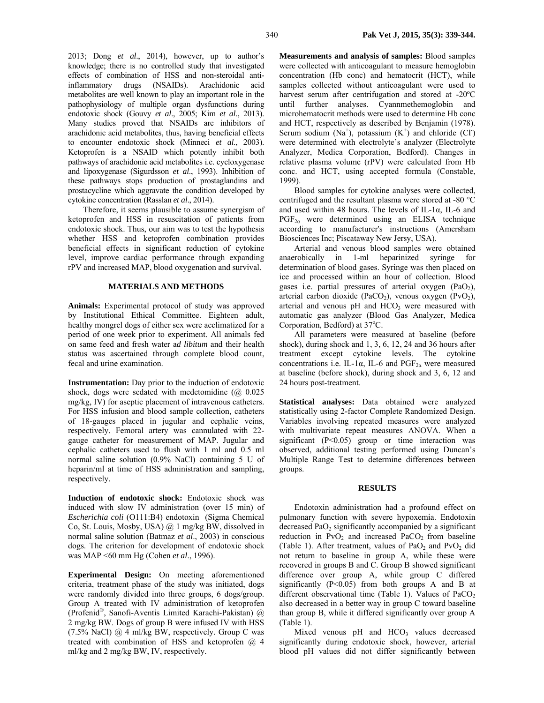2013; Dong *et al*., 2014), however, up to author's knowledge; there is no controlled study that investigated effects of combination of HSS and non-steroidal antiinflammatory drugs (NSAIDs). Arachidonic acid metabolites are well known to play an important role in the pathophysiology of multiple organ dysfunctions during endotoxic shock (Gouvy *et al*., 2005; Kim *et al*., 2013). Many studies proved that NSAIDs are inhibitors of arachidonic acid metabolites, thus, having beneficial effects to encounter endotoxic shock (Minneci *et al*., 2003). Ketoprofen is a NSAID which potently inhibit both pathways of arachidonic acid metabolites i.e. cycloxygenase and lipoxygenase (Sigurdsson *et al*., 1993). Inhibition of these pathways stops production of prostaglandins and prostacycline which aggravate the condition developed by cytokine concentration (Rasslan *et al*., 2014).

Therefore, it seems plausible to assume synergism of ketoprofen and HSS in resuscitation of patients from endotoxic shock. Thus, our aim was to test the hypothesis whether HSS and ketoprofen combination provides beneficial effects in significant reduction of cytokine level, improve cardiac performance through expanding rPV and increased MAP, blood oxygenation and survival.

### **MATERIALS AND METHODS**

**Animals:** Experimental protocol of study was approved by Institutional Ethical Committee. Eighteen adult, healthy mongrel dogs of either sex were acclimatized for a period of one week prior to experiment. All animals fed on same feed and fresh water a*d libitum* and their health status was ascertained through complete blood count, fecal and urine examination.

**Instrumentation:** Day prior to the induction of endotoxic shock, dogs were sedated with medetomidine (@ 0.025 mg/kg, IV) for aseptic placement of intravenous catheters. For HSS infusion and blood sample collection, catheters of 18-gauges placed in jugular and cephalic veins, respectively. Femoral artery was cannulated with 22 gauge catheter for measurement of MAP. Jugular and cephalic catheters used to flush with 1 ml and 0.5 ml normal saline solution (0.9% NaCl) containing 5 U of heparin/ml at time of HSS administration and sampling, respectively.

**Induction of endotoxic shock:** Endotoxic shock was induced with slow IV administration (over 15 min) of *Escherichia coli* (O111:B4) endotoxin (Sigma Chemical Co, St. Louis, Mosby, USA) @ 1 mg/kg BW, dissolved in normal saline solution (Batmaz *et al*., 2003) in conscious dogs. The criterion for development of endotoxic shock was MAP <60 mm Hg (Cohen *et al*., 1996).

**Experimental Design:** On meeting aforementioned criteria, treatment phase of the study was initiated, dogs were randomly divided into three groups, 6 dogs/group. Group A treated with IV administration of ketoprofen (Profenid®, Sanofi-Aventis Limited Karachi-Pakistan) @ 2 mg/kg BW. Dogs of group B were infused IV with HSS  $(7.5\%$  NaCl) @ 4 ml/kg BW, respectively. Group C was treated with combination of HSS and ketoprofen @ 4 ml/kg and 2 mg/kg BW, IV, respectively.

**Measurements and analysis of samples:** Blood samples were collected with anticoagulant to measure hemoglobin concentration (Hb conc) and hematocrit (HCT), while samples collected without anticoagulant were used to harvest serum after centrifugation and stored at -20ºC until further analyses. Cyannmethemoglobin and microhematocrit methods were used to determine Hb conc and HCT, respectively as described by Benjamin (1978). Serum sodium  $(Na^+)$ , potassium  $(K^+)$  and chloride  $(CI)$ were determined with electrolyte's analyzer (Electrolyte Analyzer, Medica Corporation, Bedford). Changes in relative plasma volume (rPV) were calculated from Hb conc. and HCT, using accepted formula (Constable, 1999).

Blood samples for cytokine analyses were collected, centrifuged and the resultant plasma were stored at -80 °C and used within 48 hours. The levels of IL-1α, IL-6 and PGF2α were determined using an ELISA technique according to manufacturer's instructions (Amersham Biosciences Inc; Piscataway New Jersy, USA).

Arterial and venous blood samples were obtained anaerobically in 1-ml heparinized syringe for determination of blood gases. Syringe was then placed on ice and processed within an hour of collection. Blood gases i.e. partial pressures of arterial oxygen  $(PaO<sub>2</sub>)$ , arterial carbon dioxide (PaCO<sub>2</sub>), venous oxygen (PvO<sub>2</sub>), arterial and venous  $pH$  and  $HCO<sub>3</sub>$  were measured with automatic gas analyzer (Blood Gas Analyzer, Medica Corporation, Bedford) at 37°C.

All parameters were measured at baseline (before shock), during shock and 1, 3, 6, 12, 24 and 36 hours after treatment except cytokine levels. The cytokine concentrations i.e. IL-1α, IL-6 and  $PGF_{2\alpha}$  were measured at baseline (before shock), during shock and 3, 6, 12 and 24 hours post-treatment.

**Statistical analyses:** Data obtained were analyzed statistically using 2-factor Complete Randomized Design. Variables involving repeated measures were analyzed with multivariate repeat measures ANOVA. When a significant (P<0.05) group or time interaction was observed, additional testing performed using Duncan's Multiple Range Test to determine differences between groups.

## **RESULTS**

Endotoxin administration had a profound effect on pulmonary function with severe hypoxemia. Endotoxin decreased PaO<sub>2</sub> significantly accompanied by a significant reduction in  $PvO<sub>2</sub>$  and increased  $PaCO<sub>2</sub>$  from baseline (Table 1). After treatment, values of PaO<sub>2</sub> and PvO<sub>2</sub> did not return to baseline in group A, while these were recovered in groups B and C. Group B showed significant difference over group A, while group C differed significantly  $(P<0.05)$  from both groups A and B at different observational time (Table 1). Values of  $PaCO<sub>2</sub>$ also decreased in a better way in group C toward baseline than group B, while it differed significantly over group A (Table 1).

Mixed venous  $pH$  and  $HCO<sub>3</sub>$  values decreased significantly during endotoxic shock, however, arterial blood pH values did not differ significantly between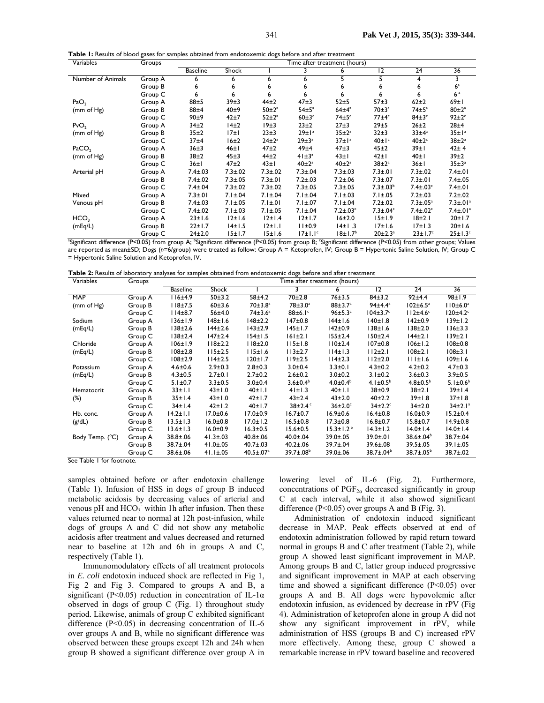| Table I: Results of blood gases for samples obtained from endotoxemic dogs before and after treatment |  |
|-------------------------------------------------------------------------------------------------------|--|
|-------------------------------------------------------------------------------------------------------|--|

| Variables         | Groups  | Time after treatment (hours) |               |               |                           |                 |                         |                            |                            |
|-------------------|---------|------------------------------|---------------|---------------|---------------------------|-----------------|-------------------------|----------------------------|----------------------------|
|                   |         | <b>Baseline</b>              | <b>Shock</b>  |               | 3                         | 6               | $\overline{12}$         | 24                         | 36                         |
| Number of Animals | Group A | 6                            | 6             | 6             | 6                         | 5               | 5                       | 4                          | 3                          |
|                   | Group B | 6                            | 6             | 6             | 6                         | 6               | 6                       | 6                          | 6 <sup>a</sup>             |
|                   | Group C | 6                            | 6             |               | 6                         | 6               |                         | 6                          | 6 <sup>a</sup>             |
| PaO <sub>2</sub>  | Group A | 88±5                         | 39±3          | $44\pm2$      | $47\pm3$                  | $52 + 5$        | $57 + 3$                | $62\pm2$                   | 69±1                       |
| (mm of Hg)        | Group B | 88±4                         | 40±9          | $50 \pm 2^a$  | $54 \pm 5^a$              | $64\pm4^a$      | $70\pm3^a$              | $74 \pm 5^a$               | $80\pm2^a$                 |
|                   | Group C | 90±9                         | 42±7          | $52 \pm 2^a$  | $60 \pm 3$ <sup>c</sup>   | $74 \pm 5$      | $77 \pm 4$ <sup>c</sup> | $84\pm3$ <sup>c</sup>      | $92 \pm 2$ <sup>c</sup>    |
| PvO <sub>2</sub>  | Group A | 34 <sub>±2</sub>             | 14±2          | 19±3          | 23±2                      | 27±3            | 29±5                    | $26 + 2$                   | 28±4                       |
| (mm of Hg)        | Group B | 35±2                         | 17±1          | 23±3          | $29 \pm 1^a$              | $35 \pm 2^a$    | 32±3                    | $33±4^a$                   | $35 \pm 1^a$               |
|                   | Group C | 37±4                         | 16±2          | $24\pm2^a$    | $29 \pm 3^a$              | $37 \pm 1^a$    | $40 \pm 1$ <sup>c</sup> | $40\pm2$ <sup>c</sup>      | $38\pm2^a$                 |
| PaCO <sub>2</sub> | Group A | 36±3                         | 46±1          | $47\pm2$      | 49±4                      | $47\pm3$        | 45±2                    | 39±1                       | $42 + 4$                   |
| (mm of Hg)        | Group B | 38 <sub>±2</sub>             | 45±3          | $44\pm2$      | $41 \pm 3^a$              | $43 \pm 1$      | 42±1                    | 40±1                       | 39±2                       |
|                   | Group C | 36±1                         | $47\pm2$      | 43±1          | $40\pm2^a$                | $40\pm2^a$      | $38\pm2^a$              | 36±1                       | $35±3^a$                   |
| Arterial pH       | Group A | $7.4 \pm .03$                | $7.3 \pm .02$ | $7.3 \pm .02$ | $7.3 \pm .04$             | $7.3 \pm .03$   | $7.3 \pm .01$           | $7.3 \pm .02$              | $7.4 \pm .01$              |
|                   | Group B | $7.4 \pm .02$                | $7.3 \pm .05$ | $7.3 \pm .01$ | $7.2 \pm .03$             | $7.2 \pm .06$   | $7.3 \pm .07$           | $7.3 \pm .01$              | $7.4 \pm .05$              |
|                   | Group C | $7.4 \pm .04$                | $7.3 \pm .02$ | $7.3 \pm .02$ | $7.3 \pm .05$             | $7.3 \pm .05$   | $7.3 \pm .03^b$         | $7.4 \pm .03$ °            | $7.4 \pm .01$              |
| Mixed             | Group A | $7.3 \pm .01$                | $7.1 \pm .04$ | $7.1 \pm .04$ | $7.1 \pm .04$             | $7.1 \pm .03$   | $7.1 \pm .05$           | $7.2 \pm .03$              | $7.2 \pm .02$              |
| Venous pH         | Group B | $7.4 \pm .03$                | $7.1 \pm .05$ | $7.1 \pm .01$ | $7.1 \pm .07$             | $7.1 \pm .04$   | $7.2 \pm .02$           | $7.3 \pm .05^a$            | $7.3 \pm .01$ <sup>a</sup> |
|                   | Group C | $7.4 \pm .02$                | $7.1 \pm .03$ | $7.1 \pm .05$ | $7.1 \pm .04$             | $7.2 \pm .03$ ° | $7.3 \pm .04$ °         | $7.4 \pm .02$ <sup>c</sup> | $7.4 \pm .01$ <sup>a</sup> |
| HCO <sub>3</sub>  | Group A | $23 \pm 1.6$                 | 12±1.6        | 12±1.4        | 12±1.7                    | 16±2.0          | 15±1.9                  | 18±2.1                     | 20±1.7                     |
| (mEq/L)           | Group B | 22±1.7                       | 14±1.5        | 12±1.1        | 11±0.9                    | 14±1.3          | 17±1.6                  | 17±1.3                     | 20±1.6                     |
|                   | Group C | 24±2.0                       | 15±1.7        | 15±1.6        | $17 \pm 1.1$ <sup>c</sup> | $18 \pm 1.7b$   | $20 \pm 2.3^a$          | $23 \pm 1.7$ <sup>c</sup>  | $25 \pm 1.3$ c             |

<sup>a</sup>Significant difference (P<0.05) from group A; <sup>b</sup>Significant difference (P<0.05) from group B; 'Significant difference (P<0.05) from other groups; Values are reported as mean±SD; Dogs (*n=*6/group) were treated as follow: Group A = Ketoprofen, IV; Group B = Hypertonic Saline Solution, IV; Group C = Hypertonic Saline Solution and Ketoprofen, IV.

| Table 2: Results of laboratory analyses for samples obtained from endotoxemic dogs before and after treatment |  |  |  |  |  |
|---------------------------------------------------------------------------------------------------------------|--|--|--|--|--|
|---------------------------------------------------------------------------------------------------------------|--|--|--|--|--|

| Variables                     | Groups  | Time after treatment (hours) |                |                              |                             |                        |                            |                        |                 |
|-------------------------------|---------|------------------------------|----------------|------------------------------|-----------------------------|------------------------|----------------------------|------------------------|-----------------|
|                               |         | <b>Baseline</b>              | Shock          |                              |                             | 6                      | $\overline{12}$            | $\overline{24}$        | $\overline{36}$ |
| <b>MAP</b>                    | Group A | 116±4.9                      | 50±3.2         | $58 + 4.2$                   | 70 <sub>±</sub> 2.8         | 76±3.5                 | 84±3.2                     | 92±4.4                 | 98±1.9          |
| (mm of Hg)                    | Group B | $118 + 7.5$                  | 60±3.6         | $70±3.8^a$                   | $78 + 3.0^a$                | $88 \pm 3.7^{\circ}$   | $94±4.4^a$                 | $102 \pm 6.5^a$        | $110±6.0^a$     |
|                               | Group C | $114\pm8.7$                  | 56±4.0         | $74 \pm 3.6^a$               | $88\pm6.1$ c                | $96 \pm 5.3$ °         | $104\pm3.7^\circ$          | 112±4.6°               | $120 \pm 4.2$   |
| Sodium                        | Group A | 136±1.9                      | $148 + 1.6$    | $148 + 2.2$                  | $147 + 0.8$                 | 144±1.6                | 140±1.8                    | 142±0.9                | 139±1.2         |
| (mEq/L)                       | Group B | $138 + 2.6$                  | $144\pm2.6$    | $143 + 2.9$                  | $145 \pm 1.7$               | 142±0.9                | $138 + 1.6$                | $138 + 2.0$            | $136 + 3.3$     |
|                               | Group C | $138 + 2.4$                  | $147 + 2.4$    | 154±1.5                      | 161±2.1                     | 155±2.4                | 150±2.4                    | 144±2.1                | 139±2.1         |
| Chloride                      | Group A | $106 \pm 1.9$                | $118 + 2.2$    | $118 + 2.0$                  | 115±1.8                     | 110±2.4                | $107 \pm 0.8$              | $106 \pm 1.2$          | $108 + 0.8$     |
| (mEq/L)                       | Group B | $108 + 2.8$                  | 115±2.5        | 115±1.6                      | 113±2.7                     | 114±1.3                | 112±2.1                    | $108 + 2.1$            | $108 + 3.1$     |
|                               | Group C | $108 + 2.9$                  | 114±2.5        | 120±1.7                      | 119±2.5                     | 114±2.3                | 112±2.0                    | 111±1.6                | 109±1.6         |
| Potassium                     | Group A | $4.6 \pm 0.6$                | $2.9 \pm 0.3$  | $2.8 + 0.3$                  | $3.0 + 0.4$                 | $3.3 \pm 0.1$          | $4.3 \pm 0.2$              | $4.2 \pm 0.2$          | $4.7 \pm 0.3$   |
| (mEq/L)                       | Group B | $4.3 \pm 0.5$                | $2.7 \pm 0.1$  | $2.7 \pm 0.2$                | $2.6 \pm 0.2$               | $3.0 \pm 0.2$          | $3.1 \pm 0.2$              | $3.6 \pm 0.3$          | $3.9 + 0.5$     |
|                               | Group C | $5.1 \pm 0.7$                | $3.3 \pm 0.5$  | $3.0 + 0.4$                  | $3.6 \pm 0.4^b$             | $4.0 \pm 0.4^b$        | 4.1 $\pm$ 0.5 <sup>b</sup> | $4.8 \pm 0.5^{\circ}$  | $5.1 \pm 0.6^b$ |
| Hematocrit                    | Group A | 33±1.1                       | $43 \pm 1.0$   | 40±1.1                       | 41±1.3                      | 40±1.1                 | 38±0.9                     | 38±2.1                 | 39±1.4          |
| $(\%)$                        | Group B | 35±1.4                       | $43 \pm 1.0$   | $42 \pm 1.7$                 | 43±2.4                      | $43 \pm 2.0$           | 40±2.2                     | 39±1.8                 | 37±1.8          |
|                               | Group C | 34±1.4                       | $42 \pm 1.2$   | 40±1.7                       | $38\pm2.4$                  | $36\pm2.0^\circ$       | $34\pm2.2^{\circ}$         | 34±2.0                 | $34 \pm 2.1^a$  |
| Hb. conc.                     | Group A | $14.2 \pm 1.1$               | $17.0 \pm 0.6$ | $17.0 \pm 0.9$               | $16.7 \pm 0.7$              | $16.9 \pm 0.6$         | $16.4 \pm 0.8$             | $16.0 \pm 0.9$         | $15.2 \pm 0.4$  |
| (g/dL)                        | Group B | $13.5 \pm 1.3$               | $16.0 \pm 0.8$ | $17.0 \pm 1.2$               | $16.5 \pm 0.8$              | $17.3 \pm 0.8$         | $16.8 \pm 0.7$             | $15.8 \pm 0.7$         | $14.9 \pm 0.8$  |
|                               | Group C | $13.6 \pm 1.3$               | $16.0 \pm 0.9$ | $16.3 \pm 0.5$               | $15.6 \pm 0.5$              | $15.3 \pm 1.2^{\circ}$ | $14.3 \pm 1.2$             | $14.0 \pm 1.4$         | $14.0 \pm 1.4$  |
| Body Temp. (°C)               | Group A | $38.8 \pm .06$               | $41.3 \pm .03$ | $40.8 \pm .06$               | $40.0 \pm .04$              | 39.0±.05               | $39.0 \pm .01$             | $38.6 \pm .04^b$       | 38.7±.04        |
|                               | Group B | 38.7±.04                     | $41.0 \pm .05$ | $40.7 \pm .03$               | $40.2 \pm .06$              | 39.7±.04               | $39.6 \pm .08$             | $39.5 \pm .05$         | 39.1±.05        |
| $C_{22}$ Table 1 fan fearware | Group C | $38.6 \pm .06$               | $41.1 \pm .05$ | $40.5 \pm 0.07$ <sup>a</sup> | $39.7 \pm .08$ <sup>b</sup> | 39.0±.06               | $38.7 \pm .04^b$           | $38.7 \pm .05^{\circ}$ | 38.7±.02        |

See Table 1 for footnote.

samples obtained before or after endotoxin challenge (Table 1). Infusion of HSS in dogs of group B induced metabolic acidosis by decreasing values of arterial and venous pH and  $HCO<sub>3</sub>$  within 1h after infusion. Then these values returned near to normal at 12h post-infusion, while dogs of groups A and C did not show any metabolic acidosis after treatment and values decreased and returned near to baseline at 12h and 6h in groups A and C, respectively (Table 1).

Immunomodulatory effects of all treatment protocols in *E. coli* endotoxin induced shock are reflected in Fig 1, Fig 2 and Fig 3. Compared to groups A and B, a significant (P<0.05) reduction in concentration of IL-1 $\alpha$ observed in dogs of group C (Fig. 1) throughout study period. Likewise, animals of group C exhibited significant difference (P<0.05) in decreasing concentration of IL-6 over groups A and B, while no significant difference was observed between these groups except 12h and 24h when group B showed a significant difference over group A in

lowering level of IL-6 (Fig. 2). Furthermore, concentrations of  $PGF_{2\alpha}$  decreased significantly in group C at each interval, while it also showed significant difference ( $P<0.05$ ) over groups A and B (Fig. 3).

Administration of endotoxin induced significant decrease in MAP. Peak effects observed at end of endotoxin administration followed by rapid return toward normal in groups B and C after treatment (Table 2), while group A showed least significant improvement in MAP. Among groups B and C, latter group induced progressive and significant improvement in MAP at each observing time and showed a significant difference (P<0.05) over groups A and B. All dogs were hypovolemic after endotoxin infusion, as evidenced by decrease in rPV (Fig 4). Administration of ketoprofen alone in group A did not show any significant improvement in rPV, while administration of HSS (groups B and C) increased rPV more effectively. Among these, group C showed a remarkable increase in rPV toward baseline and recovered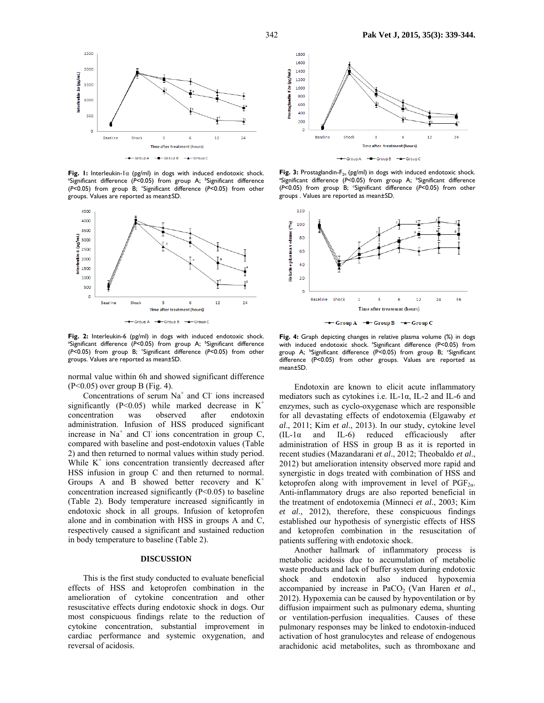

**Fig. 1:** Interleukin-1α (pg/ml) in dogs with induced endotoxic shock. <sup>a</sup>Significant difference (P<0.05) from group A; <sup>b</sup>Significant difference (*P*<0.05) from group B; c Significant difference (*P*<0.05) from other groups. Values are reported as mean±SD.



Fig. 2: Interleukin-6 (pg/ml) in dogs with induced endotoxic shock. <sup>a</sup>Significant difference (P<0.05) from group A; <sup>b</sup>Significant difference (*P*<0.05) from group B; c Significant difference (*P*<0.05) from other groups. Values are reported as mean±SD.

normal value within 6h and showed significant difference  $(P<0.05)$  over group B (Fig. 4).

Concentrations of serum Na<sup>+</sup> and Cl<sup>-</sup> ions increased significantly (P<0.05) while marked decrease in  $K^+$ concentration was observed after endotoxin administration. Infusion of HSS produced significant increase in  $Na<sup>+</sup>$  and Cl<sup>-</sup> ions concentration in group C, compared with baseline and post-endotoxin values (Table 2) and then returned to normal values within study period. While  $K^+$  ions concentration transiently decreased after HSS infusion in group C and then returned to normal. Groups A and B showed better recovery and  $K^+$ concentration increased significantly  $(P<0.05)$  to baseline (Table 2). Body temperature increased significantly in endotoxic shock in all groups. Infusion of ketoprofen alone and in combination with HSS in groups A and C, respectively caused a significant and sustained reduction in body temperature to baseline (Table 2).

### **DISCUSSION**

This is the first study conducted to evaluate beneficial effects of HSS and ketoprofen combination in the amelioration of cytokine concentration and other resuscitative effects during endotoxic shock in dogs. Our most conspicuous findings relate to the reduction of cytokine concentration, substantial improvement in cardiac performance and systemic oxygenation, and reversal of acidosis.



**Fig. 3:** Prostaglandin- $F_{2\alpha}$  (pg/ml) in dogs with induced endotoxic shock. Significant difference (P<0.05) from group A; <sup>b</sup>Significant difference (P<0.05) from group B; 'Significant difference (P<0.05) from other groups . Values are reported as mean±SD.



 $\rightarrow$  Group A  $\rightarrow$  Group B  $\rightarrow$  Group C

**Fig. 4:** Graph depicting changes in relative plasma volume (%) in dogs with induced endotoxic shock. <sup>a</sup>Significant difference (P<0.05) from group A; <sup>b</sup>Significant difference (P<0.05) from group B; <sup>c</sup>Significant difference (P<0.05) from other groups. Values are reported as mean±SD.

Endotoxin are known to elicit acute inflammatory mediators such as cytokines i.e. IL-1α, IL-2 and IL-6 and enzymes, such as cyclo-oxygenase which are responsible for all devastating effects of endotoxemia (Elgawaby *et al*., 2011; Kim *et al*., 2013). In our study, cytokine level  $(IL-I\alpha$  and IL-6) reduced efficaciously after administration of HSS in group B as it is reported in recent studies (Mazandarani *et al*., 2012; Theobaldo *et al*., 2012) but amelioration intensity observed more rapid and synergistic in dogs treated with combination of HSS and ketoprofen along with improvement in level of  $PGF_{2\alpha}$ . Anti-inflammatory drugs are also reported beneficial in the treatment of endotoxemia (Minneci *et al*., 2003; Kim *et al*., 2012), therefore, these conspicuous findings established our hypothesis of synergistic effects of HSS and ketoprofen combination in the resuscitation of patients suffering with endotoxic shock.

Another hallmark of inflammatory process is metabolic acidosis due to accumulation of metabolic waste products and lack of buffer system during endotoxic shock and endotoxin also induced hypoxemia accompanied by increase in PaCO<sub>2</sub> (Van Haren *et al.*, 2012). Hypoxemia can be caused by hypoventilation or by diffusion impairment such as pulmonary edema, shunting or ventilation-perfusion inequalities. Causes of these pulmonary responses may be linked to endotoxin-induced activation of host granulocytes and release of endogenous arachidonic acid metabolites, such as thromboxane and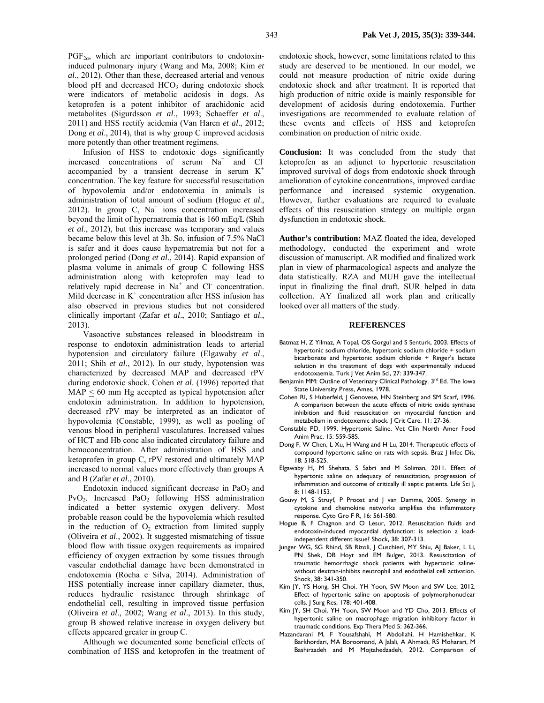$PGF_{2\alpha}$ , which are important contributors to endotoxininduced pulmonary injury (Wang and Ma, 2008; Kim *et al*., 2012). Other than these, decreased arterial and venous blood  $pH$  and decreased  $HCO<sub>3</sub>$  during endotoxic shock were indicators of metabolic acidosis in dogs. As ketoprofen is a potent inhibitor of arachidonic acid metabolites (Sigurdsson *et al*., 1993; Schaeffer *et al*., 2011) and HSS rectify acidemia (Van Haren *et al*., 2012; Dong *et al*., 2014), that is why group C improved acidosis more potently than other treatment regimens.

Infusion of HSS to endotoxic dogs significantly increased concentrations of serum  $Na<sup>+</sup>$  and Cl<sup>-</sup> accompanied by a transient decrease in serum  $K^+$ concentration. The key feature for successful resuscitation of hypovolemia and/or endotoxemia in animals is administration of total amount of sodium (Hogue *et al*., 2012). In group C,  $Na<sup>+</sup>$  ions concentration increased beyond the limit of hypernatremia that is 160 mEq/L (Shih *et al*., 2012), but this increase was temporary and values became below this level at 3h. So, infusion of 7.5% NaCl is safer and it does cause hypernatremia but not for a prolonged period (Dong *et al*., 2014). Rapid expansion of plasma volume in animals of group C following HSS administration along with ketoprofen may lead to relatively rapid decrease in  $Na<sup>+</sup>$  and Cl<sup>-</sup> concentration. Mild decrease in  $K^+$  concentration after HSS infusion has also observed in previous studies but not considered clinically important (Zafar *et al*., 2010; Santiago *et al*., 2013).

Vasoactive substances released in bloodstream in response to endotoxin administration leads to arterial hypotension and circulatory failure (Elgawaby *et al*., 2011; Shih *et al*., 2012). In our study, hypotension was characterized by decreased MAP and decreased rPV during endotoxic shock. Cohen *et al*. (1996) reported that  $MAP \leq 60$  mm Hg accepted as typical hypotension after endotoxin administration. In addition to hypotension, decreased rPV may be interpreted as an indicator of hypovolemia (Constable, 1999), as well as pooling of venous blood in peripheral vasculatures. Increased values of HCT and Hb conc also indicated circulatory failure and hemoconcentration. After administration of HSS and ketoprofen in group C, rPV restored and ultimately MAP increased to normal values more effectively than groups A and B (Zafar *et al*., 2010).

Endotoxin induced significant decrease in  $PaO<sub>2</sub>$  and PvO<sub>2</sub>. Increased PaO<sub>2</sub> following HSS administration indicated a better systemic oxygen delivery. Most probable reason could be the hypovolemia which resulted in the reduction of  $O_2$  extraction from limited supply (Oliveira *et al*., 2002). It suggested mismatching of tissue blood flow with tissue oxygen requirements as impaired efficiency of oxygen extraction by some tissues through vascular endothelial damage have been demonstrated in endotoxemia (Rocha e Silva, 2014). Administration of HSS potentially increase inner capillary diameter, thus, reduces hydraulic resistance through shrinkage of endothelial cell, resulting in improved tissue perfusion (Oliveira *et al*., 2002; Wang *et al*., 2013). In this study, group B showed relative increase in oxygen delivery but effects appeared greater in group C.

Although we documented some beneficial effects of combination of HSS and ketoprofen in the treatment of endotoxic shock, however, some limitations related to this study are deserved to be mentioned. In our model, we could not measure production of nitric oxide during endotoxic shock and after treatment. It is reported that high production of nitric oxide is mainly responsible for development of acidosis during endotoxemia. Further investigations are recommended to evaluate relation of these events and effects of HSS and ketoprofen combination on production of nitric oxide.

**Conclusion:** It was concluded from the study that ketoprofen as an adjunct to hypertonic resuscitation improved survival of dogs from endotoxic shock through amelioration of cytokine concentrations, improved cardiac performance and increased systemic oxygenation. However, further evaluations are required to evaluate effects of this resuscitation strategy on multiple organ dysfunction in endotoxic shock.

**Author's contribution:** MAZ floated the idea, developed methodology, conducted the experiment and wrote discussion of manuscript. AR modified and finalized work plan in view of pharmacological aspects and analyze the data statistically. RZA and MUH gave the intellectual input in finalizing the final draft. SUR helped in data collection. AY finalized all work plan and critically looked over all matters of the study.

#### **REFERENCES**

- Batmaz H, Z Yilmaz, A Topal, OS Gorgul and S Senturk, 2003. Effects of hypertonic sodium chloride, hypertonic sodium chloride + sodium bicarbonate and hypertonic sodium chloride + Ringer's lactate solution in the treatment of dogs with experimentally induced endotoxaemia. Turk | Vet Anim Sci, 27: 339-347.
- Benjamin MM: Outline of Veterinary Clinical Pathology. 3rd Ed. The Iowa State University Press, Ames, 1978.
- Cohen RI, S Huberfeld, J Genovese, HN Steinberg and SM Scarf, 1996. A comparison between the acute effects of nitric oxide synthase inhibition and fluid resuscitation on myocardial function and metabolism in endotoxemic shock. J Crit Care, 11: 27-36.
- Constable PD, 1999. Hypertonic Saline. Vet Clin North Amer Food Anim Prac, 15: 559-585.
- Dong F, W Chen, L Xu, H Wang and H Lu, 2014. Therapeutic effects of compound hypertonic saline on rats with sepsis. Braz | Infec Dis, 18: 518-525.
- Elgawaby H, M Shehata, S Sabri and M Soliman, 2011. Effect of hypertonic saline on adequacy of resuscitation, progression of inflammation and outcome of critically ill septic patients. Life Sci J, 8: 1148-1153.
- Gouvy M, S Struyf, P Proost and J van Damme, 2005. Synergy in cytokine and chemokine networks amplifies the inflammatory response. Cyto Gro F R, 16: 561-580.
- Hogue B, F Chagnon and O Lesur, 2012. Resuscitation fluids and endotoxin-induced myocardial dysfunction: is selection a loadindependent different issue? Shock, 38: 307-313.
- Junger WG, SG Rhind, SB Rizoli, J Cuschieri, MY Shiu, AJ Baker, L Li, PN Shek, DB Hoyt and EM Bulger, 2013. Resuscitation of traumatic hemorrhagic shock patients with hypertonic salinewithout dextran-inhibits neutrophil and endothelial cell activation. Shock, 38: 341-350.
- Kim JY, YS Hong, SH Choi, YH Yoon, SW Moon and SW Lee, 2012. Effect of hypertonic saline on apoptosis of polymorphonuclear cells. J Surg Res, 178: 401-408.
- Kim JY, SH Choi, YH Yoon, SW Moon and YD Cho, 2013. Effects of hypertonic saline on macrophage migration inhibitory factor in traumatic conditions. Exp Thera Med 5: 362-366.
- Mazandarani M, F Yousafshahi, M Abdollahi, H Hamishehkar, K Barkhordari, MA Boroomand, A Jalali, A Ahmadi, RS Moharari, M Bashirzadeh and M Mojtahedzadeh, 2012. Comparison of